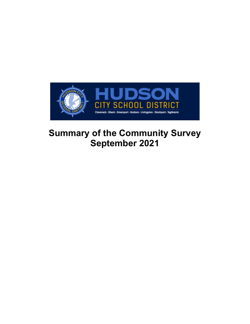

# **Summary of the Community Survey September 2021**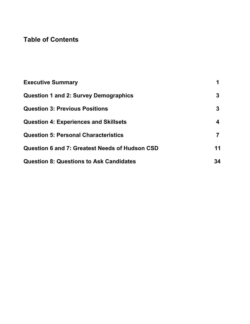# **Table of Contents**

| <b>Executive Summary</b>                       | 1  |
|------------------------------------------------|----|
| <b>Question 1 and 2: Survey Demographics</b>   | 3  |
| <b>Question 3: Previous Positions</b>          | 3  |
| <b>Question 4: Experiences and Skillsets</b>   | 4  |
| <b>Question 5: Personal Characteristics</b>    | 7  |
| Question 6 and 7: Greatest Needs of Hudson CSD | 11 |
| <b>Question 8: Questions to Ask Candidates</b> | 34 |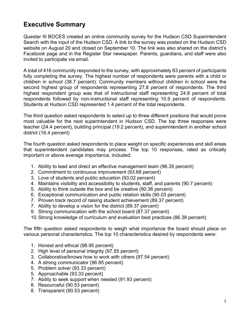# **Executive Summary**

Questar III BOCES created an online community survey for the Hudson CSD Superintendent Search with the input of the Hudson CSD. A link to the survey was posted on the Hudson CSD website on August 20 and closed on September 10. The link was also shared on the district's Facebook page and in the Register Star newspaper. Parents, guardians, and staff were also invited to participate via email.

A total of 416 community responded to the survey, with approximately 63 percent of participants fully completing the survey. The highest number of respondents were parents with a child or children in school (38.7 percent). Community members without children in school were the second highest group of respondents representing 27.8 percent of respondents. The third highest respondent group was that of instructional staff representing 24.8 percent of total respondents followed by non-instructional staff representing 10.9 percent of respondents. Students at Hudson CSD represented 1.4 percent of the total respondents.

The third question asked respondents to select up to three different positions that would prove most valuable for the next superintendent in Hudson CSD. The top three responses were teacher (24.4 percent), building principal (19.2 percent), and superintendent in another school district (16.4 percent)

The fourth question asked respondents to place weight on specific experiences and skill areas that superintendent candidates may process. The top 10 responses, rated as critically important or above average importance, included:

- 1. Ability to lead and direct an effective management team (96.35 percent)
- 2. Commitment to continuous improvement (93.68 percent)
- 3. Love of students and public education (93.02 percent)
- 4. Maintains visibility and accessibility to students, staff, and parents (90.7 percent)
- 5. Ability to think outside the box and be creative (90.36 percent)
- 6. Exceptional communication and public relation skills (90.03 percent)
- 7. Proven track record of raising student achievement (89.37 percent)
- 7. Ability to develop a vision for the district (89.37 percent)
- 9. Strong communication with the school board (87.37 percent)
- 10.Strong knowledge of curriculum and evaluation best practices (86.38 percent)

The fifth question asked respondents to weigh what importance the board should place on various personal characteristics. The top 10 characteristics desired by respondents were:

- 1. Honest and ethical (98.95 percent)
- 2. High level of personal integrity (97.55 percent)
- 3. Collaborative/knows how to work with others (97.54 percent)
- 4. A strong communicator (96.85 percent)
- 5. Problem solver (93.33 percent)
- 5. Approachable (93.33 percent)
- 7. Ability to seek support when needed (91.93 percent)
- 8. Resourceful (90.53 percent)
- 8. Transparent (90.53 percent)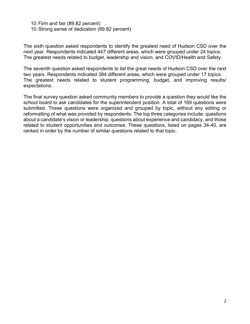10.Firm and fair (89.82 percent)

10.Strong sense of dedication (89.82 percent)

The sixth question asked respondents to identify the greatest need of Hudson CSD over the next year. Respondents indicated 447 different areas, which were grouped under 24 topics. The greatest needs related to budget, leadership and vision, and COVID/Health and Safety.

The seventh question asked respondents to list the great needs of Hudson CSD over the next two years. Respondents indicated 384 different areas, which were grouped under 17 topics. The greatest needs related to student programming, budget, and improving results/ expectations.

The final survey question asked community members to provide a question they would like the school board to ask candidates for the superintendent position. A total of 169 questions were submitted. These questions were organized and grouped by topic, without any editing or reformatting of what was provided by respondents. The top three categories include: questions about a candidate's vision or leadership, questions about experience and candidacy, and those related to student opportunities and outcomes. These questions, listed on pages 34-40, are ranked in order by the number of similar questions related to that topic.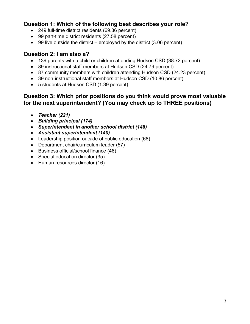# **Question 1: Which of the following best describes your role?**

- 249 full-time district residents (69.36 percent)
- 99 part-time district residents (27.58 percent)
- 99 live outside the district employed by the district (3.06 percent)

# **Question 2: I am also a?**

- 139 parents with a child or children attending Hudson CSD (38.72 percent)
- 89 instructional staff members at Hudson CSD (24.79 percent)
- 87 community members with children attending Hudson CSD (24.23 percent)
- 39 non-instructional staff members at Hudson CSD (10.86 percent)
- 5 students at Hudson CSD (1.39 percent)

# **Question 3: Which prior positions do you think would prove most valuable for the next superintendent? (You may check up to THREE positions)**

- *Teacher (221)*
- *Building principal (174)*
- *Superintendent in another school district (148)*
- *Assistant superintendent (140)*
- Leadership position outside of public education (68)
- Department chair/curriculum leader (57)
- Business official/school finance (46)
- Special education director (35)
- Human resources director (16)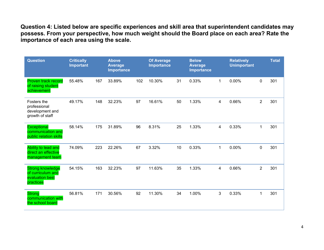**Question 4: Listed below are specific experiences and skill area that superintendent candidates may possess. From your perspective, how much weight should the Board place on each area? Rate the importance of each area using the scale.**

| <b>Question</b>                                                              | <b>Critically</b><br><b>Important</b> |     | <b>Above</b><br><b>Average</b><br><b>Importance</b> |     | <b>Of Average</b><br>Importance |    | <b>Below</b><br><b>Average</b><br>Importance |                | <b>Relatively</b><br><b>Unimportant</b> |                | <b>Total</b> |
|------------------------------------------------------------------------------|---------------------------------------|-----|-----------------------------------------------------|-----|---------------------------------|----|----------------------------------------------|----------------|-----------------------------------------|----------------|--------------|
| Proven track record<br>of raising student<br>achievement                     | 55.48%                                | 167 | 33.89%                                              | 102 | 10.30%                          | 31 | 0.33%                                        | 1              | 0.00%                                   | 0              | 301          |
| Fosters the<br>professional<br>development and<br>growth of staff            | 49.17%                                | 148 | 32.23%                                              | 97  | 16.61%                          | 50 | 1.33%                                        | $\overline{4}$ | 0.66%                                   | $\overline{2}$ | 301          |
| <b>Exceptional</b><br>communication and<br>public relation skills            | 58.14%                                | 175 | 31.89%                                              | 96  | 8.31%                           | 25 | 1.33%                                        | $\overline{4}$ | 0.33%                                   | $\mathbf{1}$   | 301          |
| Ability to lead and<br>direct an effective<br>management team                | 74.09%                                | 223 | 22.26%                                              | 67  | 3.32%                           | 10 | 0.33%                                        | $\mathbf{1}$   | 0.00%                                   | 0              | 301          |
| <b>Strong knowledge</b><br>of curriculum and<br>evaluation best<br>practices | 54.15%                                | 163 | 32.23%                                              | 97  | 11.63%                          | 35 | 1.33%                                        | 4              | 0.66%                                   | $\overline{2}$ | 301          |
| <b>Strong</b><br>communication with<br>the school board                      | 56.81%                                | 171 | 30.56%                                              | 92  | 11.30%                          | 34 | 1.00%                                        | 3              | 0.33%                                   | $\mathbf{1}$   | 301          |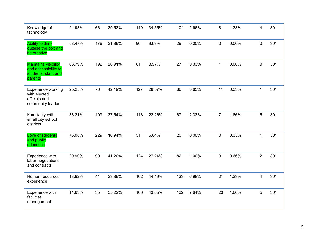| Knowledge of<br>technology                                                             | 21.93% | 66  | 39.53% | 119 | 34.55% | 104 | 2.66% | 8              | 1.33% | 4              | 301 |
|----------------------------------------------------------------------------------------|--------|-----|--------|-----|--------|-----|-------|----------------|-------|----------------|-----|
| <b>Ability to think</b><br>outside the box and<br>be creative                          | 58.47% | 176 | 31.89% | 96  | 9.63%  | 29  | 0.00% | 0              | 0.00% | $\pmb{0}$      | 301 |
| <b>Maintains visibility</b><br>and accessibility to<br>students, staff, and<br>parents | 63.79% | 192 | 26.91% | 81  | 8.97%  | 27  | 0.33% | $\mathbf 1$    | 0.00% | 0              | 301 |
| Experience working<br>with elected<br>officials and<br>community leader                | 25.25% | 76  | 42.19% | 127 | 28.57% | 86  | 3.65% | 11             | 0.33% | $\mathbf{1}$   | 301 |
| Familiarity with<br>small city school<br>districts                                     | 36.21% | 109 | 37.54% | 113 | 22.26% | 67  | 2.33% | $\overline{7}$ | 1.66% | 5              | 301 |
| Love of students<br>and public<br>education                                            | 76.08% | 229 | 16.94% | 51  | 6.64%  | 20  | 0.00% | $\pmb{0}$      | 0.33% | $\mathbf{1}$   | 301 |
| Experience with<br>labor negotiations<br>and contracts                                 | 29.90% | 90  | 41.20% | 124 | 27.24% | 82  | 1.00% | 3              | 0.66% | $\overline{2}$ | 301 |
| Human resources<br>experience                                                          | 13.62% | 41  | 33.89% | 102 | 44.19% | 133 | 6.98% | 21             | 1.33% | 4              | 301 |
| Experience with<br>facilities<br>management                                            | 11.63% | 35  | 35.22% | 106 | 43.85% | 132 | 7.64% | 23             | 1.66% | 5              | 301 |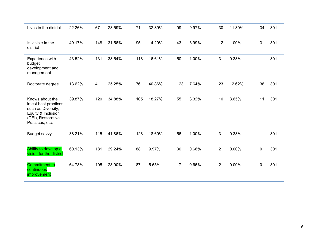| Lives in the district                                                                                                         | 22.26% | 67  | 23.59% | 71  | 32.89% | 99  | 9.97% | 30             | 11.30% | 34           | 301 |
|-------------------------------------------------------------------------------------------------------------------------------|--------|-----|--------|-----|--------|-----|-------|----------------|--------|--------------|-----|
| Is visible in the<br>district                                                                                                 | 49.17% | 148 | 31.56% | 95  | 14.29% | 43  | 3.99% | 12             | 1.00%  | $\mathbf{3}$ | 301 |
| Experience with<br>budget<br>development and<br>management                                                                    | 43.52% | 131 | 38.54% | 116 | 16.61% | 50  | 1.00% | 3              | 0.33%  | $\mathbf 1$  | 301 |
| Doctorate degree                                                                                                              | 13.62% | 41  | 25.25% | 76  | 40.86% | 123 | 7.64% | 23             | 12.62% | 38           | 301 |
| Knows about the<br>latest best practices<br>such as Diversity,<br>Equity & Inclusion<br>(DEI), Restorative<br>Practices, etc. | 39.87% | 120 | 34.88% | 105 | 18.27% | 55  | 3.32% | 10             | 3.65%  | 11           | 301 |
| Budget savvy                                                                                                                  | 38.21% | 115 | 41.86% | 126 | 18.60% | 56  | 1.00% | 3              | 0.33%  | 1            | 301 |
| Ability to develop a<br>vision for the district                                                                               | 60.13% | 181 | 29.24% | 88  | 9.97%  | 30  | 0.66% | $\overline{2}$ | 0.00%  | $\pmb{0}$    | 301 |
| <b>Commitment to</b><br>continuous<br>improvement                                                                             | 64.78% | 195 | 28.90% | 87  | 5.65%  | 17  | 0.66% | $\overline{c}$ | 0.00%  | 0            | 301 |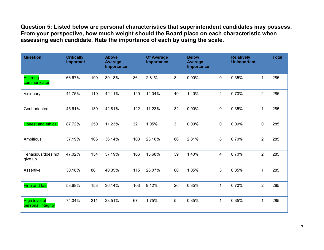**Question 5: Listed below are personal characteristics that superintendent candidates may possess. From your perspective, how much weight should the Board place on each characteristic when assessing each candidate. Rate the importance of each by using the scale.**

| <b>Question</b>                            | <b>Critically</b><br>Important |     | <b>Above</b><br><b>Average</b><br>Importance |     | <b>Of Average</b><br>Importance |    | <b>Below</b><br><b>Average</b><br>Importance |                | <b>Relatively</b><br><b>Unimportant</b> |                | <b>Total</b> |
|--------------------------------------------|--------------------------------|-----|----------------------------------------------|-----|---------------------------------|----|----------------------------------------------|----------------|-----------------------------------------|----------------|--------------|
| A strong<br>communicator                   | 66.67%                         | 190 | 30.18%                                       | 86  | 2.81%                           | 8  | 0.00%                                        | 0              | 0.35%                                   | $\mathbf 1$    | 285          |
| Visionary                                  | 41.75%                         | 119 | 42.11%                                       | 120 | 14.04%                          | 40 | 1.40%                                        | $\overline{4}$ | 0.70%                                   | $\overline{2}$ | 285          |
| Goal-oriented                              | 45.61%                         | 130 | 42.81%                                       | 122 | 11.23%                          | 32 | 0.00%                                        | $\mathbf 0$    | 0.35%                                   | $\mathbf{1}$   | 285          |
| <b>Honest and ethical</b>                  | 87.72%                         | 250 | 11.23%                                       | 32  | 1.05%                           | 3  | 0.00%                                        | 0              | $0.00\%$                                | $\pmb{0}$      | 285          |
| Ambitious                                  | 37.19%                         | 106 | 36.14%                                       | 103 | 23.16%                          | 66 | 2.81%                                        | 8              | 0.70%                                   | $\overline{2}$ | 285          |
| Tenacious/does not<br>give up              | 47.02%                         | 134 | 37.19%                                       | 106 | 13.68%                          | 39 | 1.40%                                        | 4              | 0.70%                                   | $\overline{2}$ | 285          |
| Assertive                                  | 30.18%                         | 86  | 40.35%                                       | 115 | 28.07%                          | 80 | 1.05%                                        | 3              | 0.35%                                   | $\mathbf 1$    | 285          |
| <b>Firm and fair</b>                       | 53.68%                         | 153 | 36.14%                                       | 103 | 9.12%                           | 26 | 0.35%                                        | $\mathbf{1}$   | 0.70%                                   | $\overline{2}$ | 285          |
| <b>High level of</b><br>personal integrity | 74.04%                         | 211 | 23.51%                                       | 67  | 1.75%                           | 5  | 0.35%                                        | 1              | 0.35%                                   | $\mathbf 1$    | 285          |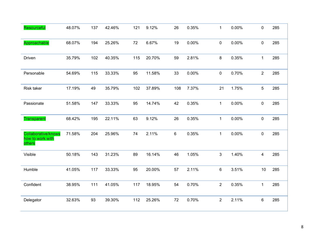| Resourceful                                              | 48.07% | 137 | 42.46% | 121 | 9.12%  | 26  | 0.35% | $\mathbf{1}$   | 0.00% | 0                       | 285 |
|----------------------------------------------------------|--------|-----|--------|-----|--------|-----|-------|----------------|-------|-------------------------|-----|
| Approachable                                             | 68.07% | 194 | 25.26% | 72  | 6.67%  | 19  | 0.00% | $\mathbf 0$    | 0.00% | 0                       | 285 |
| Driven                                                   | 35.79% | 102 | 40.35% | 115 | 20.70% | 59  | 2.81% | 8              | 0.35% | $\mathbf{1}$            | 285 |
| Personable                                               | 54.69% | 115 | 33.33% | 95  | 11.58% | 33  | 0.00% | $\mathbf 0$    | 0.70% | $\overline{2}$          | 285 |
| Risk taker                                               | 17.19% | 49  | 35.79% | 102 | 37.89% | 108 | 7.37% | 21             | 1.75% | $\overline{5}$          | 285 |
| Passionate                                               | 51.58% | 147 | 33.33% | 95  | 14.74% | 42  | 0.35% | $\mathbf{1}$   | 0.00% | $\pmb{0}$               | 285 |
| <b>Transparent</b>                                       | 68.42% | 195 | 22.11% | 63  | 9.12%  | 26  | 0.35% | $\mathbf{1}$   | 0.00% | $\pmb{0}$               | 285 |
| <b>Collaborative/knows</b><br>how to work with<br>others | 71.58% | 204 | 25.96% | 74  | 2.11%  | 6   | 0.35% | $\mathbf{1}$   | 0.00% | $\mathbf 0$             | 285 |
| Visible                                                  | 50.18% | 143 | 31.23% | 89  | 16.14% | 46  | 1.05% | $\mathbf{3}$   | 1.40% | $\overline{\mathbf{4}}$ | 285 |
| Humble                                                   | 41.05% | 117 | 33.33% | 95  | 20.00% | 57  | 2.11% | 6              | 3.51% | 10                      | 285 |
| Confident                                                | 38.95% | 111 | 41.05% | 117 | 18.95% | 54  | 0.70% | $\overline{2}$ | 0.35% | $\mathbf{1}$            | 285 |
| Delegator                                                | 32.63% | 93  | 39.30% | 112 | 25.26% | 72  | 0.70% | $\overline{2}$ | 2.11% | 6                       | 285 |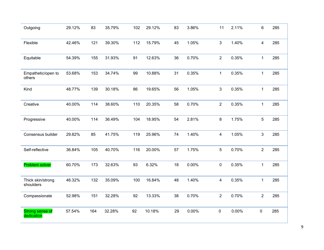| Outgoing                       | 29.12% | 83  | 35.79% | 102 | 29.12% | 83 | 3.86% | 11             | 2.11% | 6              | 285 |
|--------------------------------|--------|-----|--------|-----|--------|----|-------|----------------|-------|----------------|-----|
| Flexible                       | 42.46% | 121 | 39.30% | 112 | 15.79% | 45 | 1.05% | $\mathbf{3}$   | 1.40% | 4              | 285 |
| Equitable                      | 54.39% | 155 | 31.93% | 91  | 12.63% | 36 | 0.70% | $\overline{2}$ | 0.35% | $\mathbf 1$    | 285 |
| Empathetic/open to<br>others   | 53.68% | 153 | 34.74% | 99  | 10.88% | 31 | 0.35% | $\mathbf 1$    | 0.35% | $\mathbf{1}$   | 285 |
| Kind                           | 48.77% | 139 | 30.18% | 86  | 19.65% | 56 | 1.05% | 3              | 0.35% | $\mathbf{1}$   | 285 |
| Creative                       | 40.00% | 114 | 38.60% | 110 | 20.35% | 58 | 0.70% | $\overline{2}$ | 0.35% | $\mathbf 1$    | 285 |
| Progressive                    | 40.00% | 114 | 36.49% | 104 | 18.95% | 54 | 2.81% | 8              | 1.75% | 5              | 285 |
| Consensus builder              | 29.82% | 85  | 41.75% | 119 | 25.96% | 74 | 1.40% | $\overline{4}$ | 1.05% | 3              | 285 |
| Self-reflective                | 36.84% | 105 | 40.70% | 116 | 20.00% | 57 | 1.75% | 5              | 0.70% | $\overline{2}$ | 285 |
| Problem solver                 | 60.70% | 173 | 32.63% | 93  | 6.32%  | 18 | 0.00% | $\mathbf 0$    | 0.35% | $\mathbf{1}$   | 285 |
| Thick skin/strong<br>shoulders | 46.32% | 132 | 35.09% | 100 | 16.84% | 48 | 1.40% | 4              | 0.35% | $\mathbf 1$    | 285 |
| Compassionate                  | 52.98% | 151 | 32.28% | 92  | 13.33% | 38 | 0.70% | $\overline{2}$ | 0.70% | $\overline{2}$ | 285 |
| Strong sense of<br>dedication  | 57.54% | 164 | 32.28% | 92  | 10.18% | 29 | 0.00% | 0              | 0.00% | $\mathbf 0$    | 285 |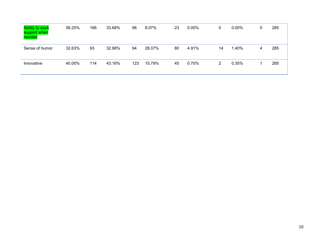| <b>Ability to seek</b><br>support when<br>needed | 58.25% | 166 | 33.68% | 96  | 8.07%  | 23 | $0.00\%$ | $\mathbf{0}$ | $0.00\%$ | $\mathbf 0$ | 285 |
|--------------------------------------------------|--------|-----|--------|-----|--------|----|----------|--------------|----------|-------------|-----|
| Sense of humor                                   | 32.63% | 93  | 32.98% | 94  | 28.07% | 80 | 4.91%    | 14           | 1.40%    | 4           | 285 |
| Innovative                                       | 40.00% | 114 | 43.16% | 123 | 15.79% | 45 | 0.70%    | 2            | 0.35%    |             | 285 |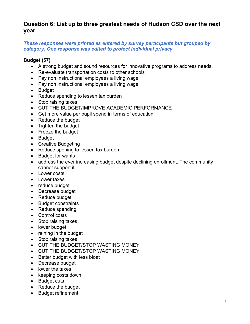# **Question 6: List up to three greatest needs of Hudson CSD over the next year**

#### *These responses were printed as entered by survey participants but grouped by category. One response was edited to protect individual privacy.*

#### **Budget (57)**

- A strong budget and sound resources for innovative programs to address needs.
- Re-evaluate transportation costs to other schools
- Pay non instructional employees a living wage
- Pay non instructional employees a living wage
- Budget
- Reduce spending to lessen tax burden
- Stop raising taxes
- CUT THE BUDGET/IMPROVE ACADEMIC PERFORMANCE
- Get more value per pupil spend in terms of education
- Reduce the budget
- Tighten the budget
- Freeze the budget
- Budget
- Creative Budgeting
- Reduce spening to lessen tax burden
- Budget for wants
- address the ever increasing budget despite declining enrollment. The community cannot support it
- Lower costs
- Lower taxes
- reduce budget
- Decrease budget
- Reduce budget
- Budget constraints
- Reduce spending
- Control costs
- Stop raising taxes
- lower budget
- reining in the budget
- Stop raising taxes
- CUT THE BUDGET/STOP WASTING MONEY
- CUT THE BUDGET/STOP WASTING MONEY
- Better budget with less bloat
- Decrease budget
- lower the taxes
- keeping costs down
- Budget cuts
- Reduce the budget
- Budget refinement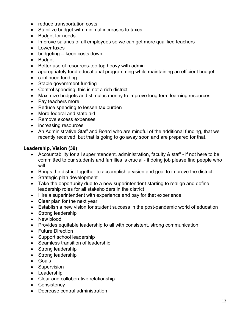- reduce transportation costs
- Stabilize budget with minimal increases to taxes
- Budget for needs
- Improve salaries of all employees so we can get more qualified teachers
- Lower taxes
- budgeting -- keep costs down
- Budget
- Better use of resources-too top heavy with admin
- appropriately fund educational programming while maintaining an efficient budget
- continued funding
- Stable government funding
- Control spending, this is not a rich district
- Maximize budgets and stimulus money to improve long term learning resources
- Pay teachers more
- Reduce spending to lessen tax burden
- More federal and state aid
- Remove excess expenses
- increasing resources
- An Administrative Staff and Board who are mindful of the additional funding, that we recently received, but that is going to go away soon and are prepared for that.

#### **Leadership, Vision (39)**

- Accountability for all superintendent, administration, faculty & staff if not here to be committed to our students and families is crucial - if doing job please find people who will
- Brings the district together to accomplish a vision and goal to improve the district.
- Strategic plan development
- Take the opportunity due to a new superintendent starting to realign and define leadership roles for all stakeholders in the district
- Hire a superintendent with experience and pay for that experience
- Clear plan for the next year
- Establish a new vision for student success in the post-pandemic world of education
- Strong leadership
- New blood
- Provides equitable leadership to all with consistent, strong communication.
- Future Direction
- Support school leadership
- Seamless transition of leadership
- Strong leadership
- Strong leadership
- Goals
- Supervision
- Leadership
- Clear and colloborative relationship
- Consistency
- Decrease central administration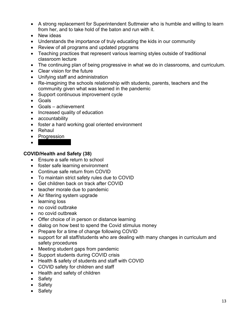- A strong replacement for Superintendent Suttmeier who is humble and willing to learn from her, and to take hold of the baton and run with it.
- New ideas
- Understands the importance of truly educating the kids in our community
- Review of all programs and updated prpgrams
- Teaching practices that represent various learning styles outside of traditional classroom lecture
- The continuing plan of being progressive in what we do in classrooms, and curriculum.
- Clear vision for the future
- Unifying staff and administration
- Re-imagining the schools relationship with students, parents, teachers and the community given what was learned in the pandemic
- Support continuous improvement cycle
- Goals
- Goals achievement
- Increased quality of education
- accountability
- foster a hard working goal oriented environment
- Rehaul
- Progression
- $\bullet$  . The contract of  $\bullet$

#### **COVID/Health and Safety (38)**

- Ensure a safe return to school
- foster safe learning environment
- Continue safe return from COVID
- To maintain strict safety rules due to COVID
- Get children back on track after COVID
- teacher morale due to pandemic
- Air filtering system upgrade
- learning loss
- no covid outbrake
- no covid outbreak
- Offer choice of in person or distance learning
- dialog on how best to spend the Covid stimulus money
- Prepare for a time of change following COVID
- support for all staff/students who are dealing with many changes in curriculum and safety procedures
- Meeting student gaps from pandemic
- Support students during COVID crisis
- Health & safety of students and staff with COVID
- COVID safety for children and staff
- Health and safety of children
- Safety
- Safety
- Safety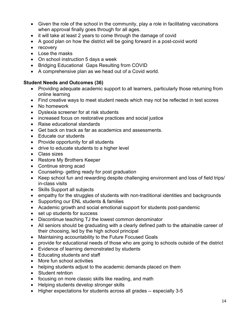- Given the role of the school in the community, play a role in facilitating vaccinations when approval finally goes through for all ages.
- it will take at least 2 years to come through the damage of covid
- A good plan on how the district will be going forward in a post-covid world
- recovery
- Lose the masks
- On school instruction 5 days a week
- Bridging Educational Gaps Resulting from COVID
- A comprehensive plan as we head out of a Covid world.

#### **Student Needs and Outcomes (36)**

- Providing adequate academic support to all learners, particularly those returning from online learning
- Find creative ways to meet student needs which may not be reflected in test scores
- No homework
- Dyslexia screener for at risk students
- increased focus on restorative practices and social justice
- Raise educational standards
- Get back on track as far as academics and assessments.
- Educate our students
- Provide opportunity for all students
- drive to educate students to a higher level
- Class sizes
- Restore My Brothers Keeper
- Continue strong acad
- Counseling- getting ready for post graduation
- Keep school fun and rewarding despite challenging environment and loss of field trips/ in-class visits
- Skills Support all subjects
- empathy for the struggles of students with non-traditional identities and backgrounds
- Supporting our ENL students & families
- Academic growth and social emotional support for students post-pandemic
- set up students for success
- Discontinue teaching TJ the lowest common denominator
- All seniors should be graduating with a clearly defined path to the attainable career of their choosing, led by the high school principal
- Maintaining accountability to the Future Focused Goals
- provide for educational needs of those who are going to schools outside of the district
- Evidence of learning demonstrated by students
- Educating students and staff
- More fun school activities
- helping students adjust to the academic demands placed on them
- Student retntion
- focusing on more classic skills like reading, and math
- Helping students develop stronger skills
- Higher expectations for students across all grades -- especially 3-5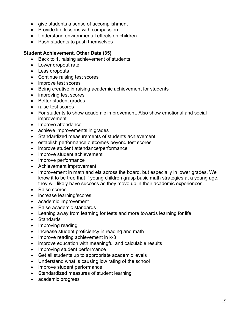- give students a sense of accomplishment
- Provide life lessons with compassion
- Understand environmental effects on children
- Push students to push themselves

#### **Student Achievement, Other Data (35)**

- Back to 1, raising achievement of students.
- Lower dropout rate
- Less dropouts
- Continue raising test scores
- improve test scores
- Being creative in raising academic achievement for students
- improving test scores
- Better student grades
- raise test scores
- For students to show academic improvement. Also show emotional and social improvement
- Improve attendance
- achieve improvements in grades
- Standardized measurements of students achievement
- establish performance outcomes beyond test scores
- improve student attendance/performance
- Improve student achievement
- Improve performance
- Achievement improvement
- Improvement in math and ela across the board, but especially in lower grades. We know it to be true that if young children grasp basic math strategies at a young age, they will likely have success as they move up in their academic experiences.
- Raise scores
- increase learning/scores
- academic improvement
- Raise academic standards
- Leaning away from learning for tests and more towards learning for life
- Standards
- Improving reading
- Increase student proficiency in reading and math
- Improve reading achievement in k-3
- improve education with meaningful and calculable results
- Improving student performance
- Get all students up to appropriate academic levels
- Understand what is causing low rating of the school
- Improve student performance
- Standardized measures of student learning
- academic progress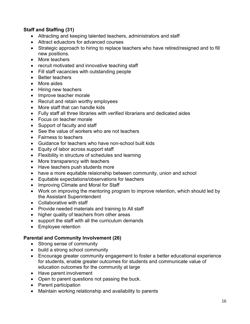# **Staff and Staffing (31)**

- Attracting and keeping talented teachers, administrators and staff
- Attract eduactors for advanced courses
- Strategic approach to hiring to replace teachers who have retired/resigned and to fill new positions.
- More teachers
- recruit motivated and innovative teaching staff
- Fill staff vacancies with outstanding people
- Better teachers
- More aides
- Hiring new teachers
- Improve teacher morale
- Recruit and retain worthy employees
- More staff that can handle kids
- Fully staff all three libraries with verified librarians and dedicated aides
- Focus on teacher morale
- Support of faculty and staff
- See the value of workers who are not teachers
- Fairness to teachers
- Guidance for teachers who have non-school built kids
- Equity of labor across support staff
- Flexibility in structure of schedules snd learning
- More transparency with teachers
- Have teachers push students more
- have a more equitable relaionship between community, union and school
- Equitable expectations/observations for teachers
- Improving Climate and Moral for Staff
- Work on improving the mentoring program to improve retention, which should led by the Assistant Superintendent
- Collaborative with staff
- Provide needed materials and training to All staff
- higher quality of teachers from other areas
- support the staff with all the curriculum demands
- Employee retention

#### **Parental and Community Involvement (26)**

- Strong sense of community
- build a strong school community
- Encourage greater community engagement to foster a better educational experience for students, enable greater outcomes for students and communicate value of education outcomes for the community at large
- Have parent involvement
- Open to parent questions not passing the buck.
- Parent participation
- Maintain working relationship and availability to parents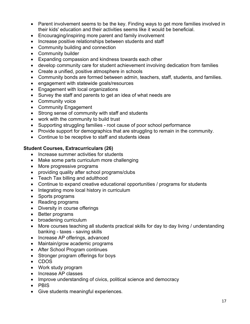- Parent involvement seems to be the key. Finding ways to get more families involved in their kids' education and their activities seems like it would be beneficial.
- Encouraging/inspiring more parent and family involvement
- Increase positive relationships between students and staff
- Community building and connection
- Community builder
- Expanding compassion and kindness towards each other
- develop community care for student achievement involving dedication from families
- Create a unified, positive atmosphere in schools
- Community bonds are formed between admin, teachers, staff, students, and families.
- engagement with statewide goals/resources
- Engagement with local organizations
- Survey the staff and parents to get an idea of what needs are
- Community voice
- Community Engagement
- Strong sense of community with staff and students
- work with the community to build trust
- Supporting struggling families root cause of poor school performance
- Provide support for demographics that are struggling to remain in the community.
- Continue to be receptive to staff and students ideas

#### **Student Courses, Extracurriculars (26)**

- Increase summer activities for students
- Make some parts curriculum more challenging
- More progressive programs
- providing quality after school programs/clubs
- Teach Tax billing and adulthood
- Continue to expand creative educational opportunities / programs for students
- Integrating more local history in curriculum
- Sports programs
- Reading programs
- Diversity in course offerings
- Better programs
- broadening curriculum
- More courses teaching all students practical skills for day to day living / understanding banking - taxes - saving skills
- Increase AP offerings, advanced
- Maintain/grow academic programs
- After School Program continues
- Stronger program offerings for boys
- CDOS
- Work study program
- Increase AP classes
- Improve understanding of civics, political science and democracy
- PBIS
- Give students meaningful experiences.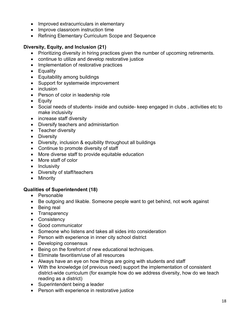- Improved extracurriculars in elementary
- Improve classroom instruction time
- Refining Elementary Curriculum Scope and Sequence

#### **Diversity, Equity, and Inclusion (21)**

- Prioritizing diversity in hiring practices given the number of upcoming retirements.
- continue to utilize and develop restorative justice
- Implementation of restorative practices
- Equality
- Equitability among buildings
- Support for systemwide improvement
- inclusion
- Person of color in leadership role
- Equity
- Social needs of students- inside and outside- keep engaged in clubs , activities etc to make inclusivity
- increase staff diversity
- Diversify teachers and administartion
- Teacher diversity
- Diversity
- Diversity, inclusion & equibility throughout all buildings
- Continue to promote diversity of staff
- More diverse staff to provide equitable education
- More staff of color
- Inclusivity
- Diversity of staff/teachers
- Minority

#### **Qualities of Superintendent (18)**

- Personable
- Be outgoing and likable. Someone people want to get behind, not work against
- Being real
- Transparency
- Consistency
- Good communicator
- Someone who listens and takes all sides into consideration
- Person with experience in inner city school district
- Developing consensus
- Being on the forefront of new educational techniques.
- Eliminate favoritism/use of all resources
- Always have an eye on how things are going with students and staff
- With the knowledge (of previous need) support the implementation of consistent district-wide curriculum (for example how do we address diversity, how do we teach reading as a district)
- Superintendent being a leader
- Person with experience in restorative justice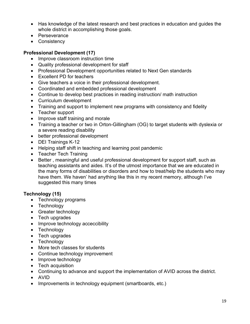- Has knowledge of the latest research and best practices in education and guides the whole district in accomplishing those goals.
- Perseverance
- Consistency

#### **Professional Development (17)**

- Improve classroom instruction time
- Quality professional development for staff
- Professional Development opportunities related to Next Gen standards
- Excellent PD for teachers
- Give teachers a voice in their professional development.
- Coordinated and embedded professional development
- Continue to develop best practices in reading instruction/ math instruction
- Curriculum development
- Training and support to implement new programs with consistency and fidelity
- Teacher support
- Improve staff training and morale
- Training a teacher or two in Orton-Gillingham (OG) to target students with dyslexia or a severe reading disability
- better professional development
- DEI Trainings K-12
- Helping staff shift in teaching and learning post pandemic
- Teacher Tech Training
- Better , meaningful and useful professional development for support staff, such as teaching assistants and aides. It's of the utmost importance that we are educated in the many forms of disabilities or disorders and how to treat/help the students who may have them. We haven' had anything like this in my recent memory, although I've suggested this many times

#### **Technology (15)**

- Technology programs
- Technology
- Greater technology
- Tech upgrades
- Improve technology acceccibility
- Technology
- Tech upgrades
- Technology
- More tech classes for students
- Continue technology improvement
- Improve technology
- Tech acquisition
- Continuing to advance and support the implementation of AVID across the district.
- AVID
- Improvements in technology equipment (smartboards, etc.)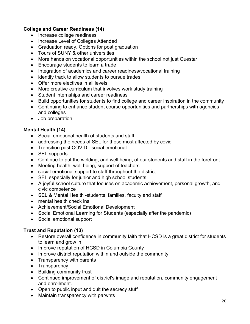#### **College and Career Readiness (14)**

- Increase college readiness
- Increase Level of Colleges Attended
- Graduation ready. Options for post graduation
- Tours of SUNY & other universities
- More hands on vocational opportunities within the school not just Questar
- Encourage students to learn a trade
- Integration of academics and career readiness/vocational training
- identify track to allow students to pursue trades
- Offer more electives in all levels
- More creative curriculum that involves work study training
- Student internships and career readiness
- Build opportunities for students to find college and career inspiration in the community
- Continuing to enhance student course opportunities and partnerships with agencies and colleges
- Job preparation

#### **Mental Health (14)**

- Social emotional health of students and staff
- addressing the needs of SEL for those most affected by covid
- Transition past COVID social emotional
- SEL supports
- Continue to put the welding, and well being, of our students and staff in the forefront
- Meeting health, well being, support of teachers
- social-emotional support to staff throughout the district
- SEL especially for junior and high school students
- A joyful school culture that focuses on academic achievement, personal growth, and civic competence
- SEL & Mental Health -students, families, faculty and staff
- mental health check ins
- Achievement/Social Emotional Development
- Social Emotional Learning for Students (especially after the pandemic)
- Social emotional support

#### **Trust and Reputation (13)**

- Restore overall confidence in community faith that HCSD is a great district for students to learn and grow in
- Improve reputation of HCSD in Columbia County
- Improve district reputation within and outside the community
- Transparency with parents
- Transparency
- Building community trust
- Continued improvement of district's image and reputation, community engagement and enrollment.
- Open to public input and quit the secrecy stuff
- Maintain transparency with parwnts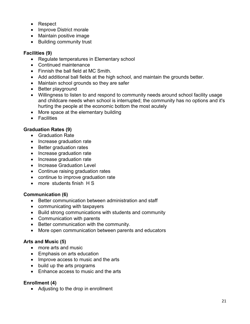- Respect
- Improve District morale
- Maintain positive image
- Building community trust

#### **Facilities (9)**

- Regulate temperatures in Elementary school
- Continued maintenance
- Finnish the ball field at MC Smith.
- Add additional ball fields at the high school, and maintain the grounds better.
- Maintain school grounds so they are safer
- Better playground
- Willingness to listen to and respond to community needs around school facility usage and childcare needs when school is interrupted; the community has no options and it's hurting the people at the economic bottom the most acutely
- More space at the elementary building
- Facilities

#### **Graduation Rates (9)**

- Graduation Rate
- Increase graduation rate
- Better graduation rates
- Increase graduation rate
- Increase graduation rate
- Increase Graduation Level
- Continue raising graduation rates
- continue to improve graduation rate
- more students finish H S

#### **Communication (6)**

- Better communication between administration and staff
- communicating with taxpayers
- Build strong communications with students and community
- Communication with parents
- Better communication with the community.
- More open communication between parents and educators

#### **Arts and Music (5)**

- more arts and music
- Emphasis on arts education
- Improve access to music and the arts
- build up the arts programs
- Enhance access to music and the arts

#### **Enrollment (4)**

• Adjusting to the drop in enrollment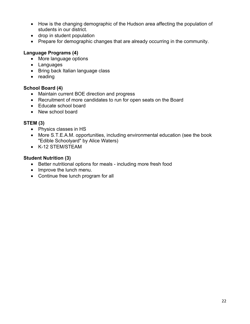- How is the changing demographic of the Hudson area affecting the population of students in our district.
- drop in student population
- Prepare for demographic changes that are already occurring in the community.

#### **Language Programs (4)**

- More language options
- Languages
- Bring back Italian language class
- reading

#### **School Board (4)**

- Maintain current BOE direction and progress
- Recruitment of more candidates to run for open seats on the Board
- Educate school board
- New school board

#### **STEM (3)**

- Physics classes in HS
- More S.T.E.A.M. opportunities, including environmental education (see the book "Edible Schoolyard" by Alice Waters)
- K-12 STEM/STEAM

#### **Student Nutrition (3)**

- Better nutritional options for meals including more fresh food
- Improve the lunch menu.
- Continue free lunch program for all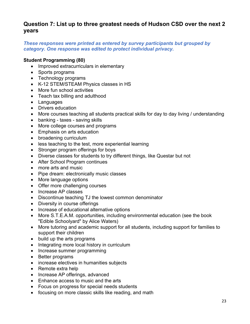# **Question 7: List up to three greatest needs of Hudson CSD over the next 2 years**

#### *These responses were printed as entered by survey participants but grouped by category. One response was edited to protect individual privacy.*

#### **Student Programming (80)**

- Improved extracurriculars in elementary
- Sports programs
- Technology programs
- K-12 STEM/STEAM Physics classes in HS
- More fun school activities
- Teach tax billing and adulthood
- Languages
- Drivers education
- More courses teaching all students practical skills for day to day living / understanding
- banking taxes saving skills
- More college courses and programs
- Emphasis on arts education
- broadening curriculum
- less teaching to the test, more experiential learning
- Stronger program offerings for boys
- Diverse classes for students to try different things, like Questar but not
- After School Program continues
- more arts and music
- Pipe dream: electronically music classes
- More language options
- Offer more challenging courses
- Increase AP classes
- Discontinue teaching TJ the lowest common denominator
- Diversity in course offerings
- Increase of educational alternative options
- More S.T.E.A.M. opportunities, including environmental education (see the book "Edible Schoolyard" by Alice Waters)
- More tutoring and academic support for all students, including support for families to support their children
- build up the arts programs
- Integrating more local history in curriculum
- Increase summer programming
- Better programs
- increase electives in humanities subjects
- Remote extra help
- Increase AP offerings, advanced
- Enhance access to music and the arts
- Focus on progress for special needs students
- focusing on more classic skills like reading, and math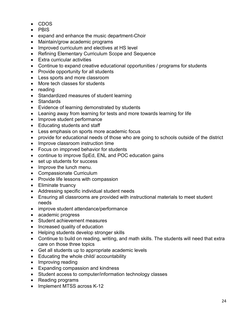- CDOS
- PBIS
- expand and enhance the music department-Choir
- Maintain/grow academic programs
- Improved curriculum and electives at HS level
- Refining Elementary Curriculum Scope and Sequence
- Extra curricular activities
- Continue to expand creative educational opportunities / programs for students
- Provide opportunity for all students
- Less sports and more classroom
- More tech classes for students
- reading
- Standardized measures of student learning
- Standards
- Evidence of learning demonstrated by students
- Leaning away from learning for tests and more towards learning for life
- Improve student performance
- Educating students and staff
- Less emphasis on sports more academic focus
- provide for educational needs of those who are going to schools outside of the district
- Improve classroom instruction time
- Focus on impprved behavior for students
- continue to improve SpEd, ENL and POC education gains
- set up students for success
- Improve the lunch menu.
- Compassionate Curriculum
- Provide life lessons with compassion
- Eliminate truancy
- Addressing specific individual student needs
- Ensuring all classrooms are provided with instructional materials to meet student needs
- improve student attendance/performance
- academic progress
- Student achievement measures
- Increased quality of education
- Helping students develop stronger skills
- Continue to build on reading, writing, and math skills. The students will need that extra care on those three topics
- Get all students up to appropriate academic levels
- Educating the whole child/ accountability
- Improving reading
- Expanding compassion and kindness
- Student access to computer/information technology classes
- Reading programs
- Implement MTSS across K-12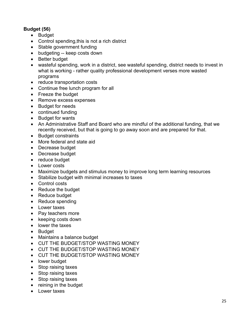#### **Budget (56)**

- Budget
- Control spending,this is not a rich district
- Stable government funding
- budgeting -- keep costs down
- Better budget
- wasteful spending, work in a district, see wasteful spending, district needs to invest in what is working - rather quality professional development verses more wasted programs
- reduce transportation costs
- Continue free lunch program for all
- Freeze the budget
- Remove excess expenses
- Budget for needs
- continued funding
- Budget for wants
- An Administrative Staff and Board who are mindful of the additional funding, that we recently received, but that is going to go away soon and are prepared for that.
- Budget constraints
- More federal and state aid
- Decrease budget
- Decrease budget
- reduce budget
- Lower costs
- Maximize budgets and stimulus money to improve long term learning resources
- Stabilize budget with minimal increases to taxes
- Control costs
- Reduce the budget
- Reduce budget
- Reduce spending
- Lower taxes
- Pay teachers more
- keeping costs down
- lower the taxes
- Budget
- Maintains a balance budget
- CUT THE BUDGET/STOP WASTING MONEY
- CUT THE BUDGET/STOP WASTING MONEY
- CUT THE BUDGET/STOP WASTING MONEY
- lower budget
- Stop raising taxes
- Stop raising taxes
- Stop raising taxes
- reining in the budget
- Lower taxes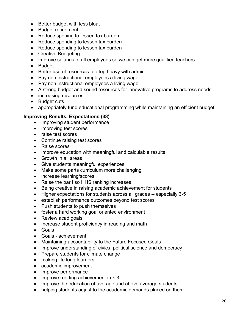- Better budget with less bloat
- Budget refinement
- Reduce spening to lessen tax burden
- Reduce spending to lessen tax burden
- Reduce spending to lessen tax burden
- Creative Budgeting
- Improve salaries of all employees so we can get more qualified teachers
- Budget
- Better use of resources-too top heavy with admin
- Pay non instructional employees a living wage
- Pay non instructional employees a living wage
- A strong budget and sound resources for innovative programs to address needs.
- increasing resources
- Budget cuts
- appropriately fund educational programming while maintaining an efficient budget

#### **Improving Results, Expectations (38)**

- Improving student performance
- improving test scores
- raise test scores
- Continue raising test scores
- Raise scores
- improve education with meaningful and calculable results
- Growth in all areas
- Give students meaningful experiences.
- Make some parts curriculum more challenging
- increase learning/scores
- Raise the bar ! so HHS ranking increases
- Being creative in raising academic achievement for students
- Higher expectations for students across all grades -- especially 3-5
- establish performance outcomes beyond test scores
- Push students to push themselves
- foster a hard working goal oriented environment
- Review acad goals
- Increase student proficiency in reading and math
- Goals
- Goals achievement
- Maintaining accountability to the Future Focused Goals
- Improve understanding of civics, political science and democracy
- Prepare students for climate change
- making life long learners
- academic improvement
- Improve performance
- Improve reading achievement in k-3
- Improve the education of average and above average students
- helping students adjust to the academic demands placed on them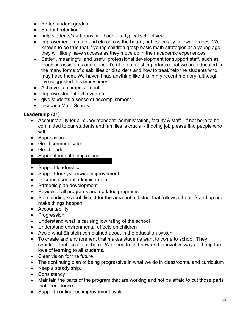- Better student grades
- Student retention
- help students/staff transition back to a typical school year
- Improvement in math and ela across the board, but especially in lower grades. We know it to be true that if young children grasp basic math strategies at a young age, they will likely have success as they move up in their academic experiences.
- Better , meaningful and useful professional development for support staff, such as teaching assistants and aides. It's of the utmost importance that we are educated in the many forms of disabilities or disorders and how to treat/help the students who may have them. We haven't had anything like this in my recent memory, although I've suggested this many times
- Achievement improvement
- Improve student achievement
- give students a sense of accomplishment
- Increase Math Scores

#### **Leadership (31)**

- Accountability for all superintendent, administration, faculty & staff if not here to be committed to our students and families is crucial - if doing job please find people who will
- Supervision
- Good communicator
- Good leader
- Superintendent being a leader
- Support leadership
- Support for systemwide improvement
- Decrease central administration
- Strategic plan development
- Review of all programs and updated prpgrams
- Be a leading school district for the area not a district that follows others. Stand up and make things happen
- Accountability
- Progression
- Understand what is causing low rating of the school
- Understand environmental effects on children
- Avoid what Einstein complained about in the education system
- To create and environment that makes students want to come to school. They shouldn't feel like it's a chore . We need to find new and innovative ways to bring the love of learning to all students.
- Clear vision for the future
- The continuing plan of being progressive in what we do in classrooms, and curriculum
- Keep a steady ship.
- Consistency
- Maintain the parts of the program that are working and not be afraid to cut those parts that aren't loose.
- Support continuous improvement cycle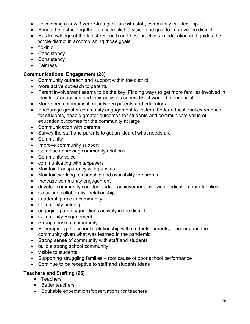- Developing a new 3 year Strategic Plan with staff, community, student input
- Brings the district together to accomplish a vision and goal to improve the district.
- Has knowledge of the latest research and best practices in education and guides the whole district in accomplishing those goals.
- flexible
- Consistency
- Consistency
- Fairness

#### **Communications, Engagement (28)**

- Community outreach and support within the district
- more active outreach to parents
- Parent involvement seems to be the key. Finding ways to get more families involved in their kids' education and their activities seems like it would be beneficial.
- More open communication between parents and educators
- Encourage greater community engagement to foster a better educational experience for students, enable greater outcomes for students and communicate value of education outcomes for the community at large
- Communication with parents
- Survey the staff and parents to get an idea of what needs are
- Community
- Improve community support
- Continue improving community relations
- Community voice
- communicating with taxpayers
- Maintain transparency with parwnts
- Maintain working relationship and availability to parents
- Increase community engagement
- develop community care for student achievement involving dedication from families
- Clear and colloborative relationship
- Leadership role in community
- Community bulding
- engaging parents/guardians actively in the district
- Community Engagement
- Strong sense of community
- Re-imagining the schools relationship with students, parents, teachers and the community given what was learned in the pandemic
- Strong sense of community with staff and students
- build a strong school community
- visible to students
- Supporting struggling families root cause of poor school performance
- Continue to be receptive to staff and students ideas

#### **Teachers and Staffing (25)**

- Teachers
- Better teachers
- Equitable expectations/observations for teachers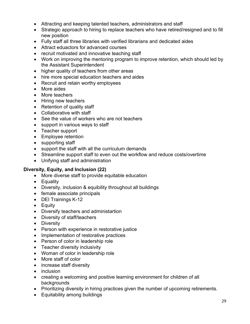- Attracting and keeping talented teachers, administrators and staff
- Strategic approach to hiring to replace teachers who have retired/resigned and to fill new position
- Fully staff all three libraries with verified librarians and dedicated aides
- Attract eduactors for advanced courses
- recruit motivated and innovative teaching staff
- Work on improving the mentoring program to improve retention, which should led by the Assistant Superintendent
- higher quality of teachers from other areas
- hire more special education teachers and aides
- Recruit and retain worthy employees
- More aides
- More teachers
- Hiring new teachers
- Retention of quality staff
- Collaborative with staff
- See the value of workers who are not teachers
- support in various ways to staff
- Teacher support
- Employee retention
- supporting staff
- support the staff with all the curriculum demands
- Streamline support staff to even out the workflow and reduce costs/overtime
- Unifying staff and administration

#### **Diversity, Equity, and Inclusion (22)**

- More diverse staff to provide equitable education
- Equality
- Diversity, inclusion & equibility throughout all buildings
- female associate principals
- DEI Trainings K-12
- Equity
- Diversify teachers and administartion
- Diversity of staff/teachers
- Diversity
- Person with experience in restorative justice
- Implementation of restorative practices
- Person of color in leadership role
- Teacher diversity inclusivity
- Woman of color in leadership role
- More staff of color
- increase staff diversity
- inclusion
- creating a welcoming and positive learning environment for children of all backgrounds
- Prioritizing diversity in hiring practices given the number of upcoming retirements.
- Equitability among buildings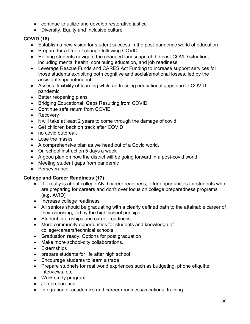- continue to utilize and develop restorative justice
- Diversity, Equity and Inclusive culture

# **COVID (18)**

- Establish a new vision for student success in the post-pandemic world of education
- Prepare for a time of change following COVID
- Helping students navigate the changed landscape of the post-COVID situation, including mental health, continuing education, and job readiness
- Leverage Rescue Funds and CARES Act Funding to increase support services for those students exhibiting both cognitive and social/emotional losses, led by the assistant superintendent
- Assess flexibility of learning while addressing educational gaps due to COVID pandemic
- Better reopening plans.
- Bridging Educational Gaps Resulting from COVID
- Continue safe return from COVID
- Recovery
- it will take at least 2 years to come through the damage of covid
- Get children back on track after COVID
- no covid outbreak
- Lose the masks
- A comprehensive plan as we head out of a Covid world.
- On school instruction 5 days a week
- A good plan on how the district will be going forward in a post-covid world
- Meeting student gaps from pandemic
- Perseverance

#### **College and Career Readiness (17)**

- If it really is about college AND career readiness, offer opportunities for students who are preparing for careers and don't over focus on college preparedness programs (e.g. AVID)
- Increase college readiness
- All seniors should be graduating with a clearly defined path to the attainable career of their choosing, led by the high school principal
- Student internships and career readiness
- More community opportunities for students and knowledge of college/careers/technical schools
- Graduation ready. Options for post graduation
- Make more school-city collaborations.
- Externships
- prepare students for life after high school
- Encourage students to learn a trade
- Prepare studnets for real world expriences such as budgeting, phone etiquitte, interviews, etc
- Work study program
- Job preparation
- Integration of academics and career readiness/vocational training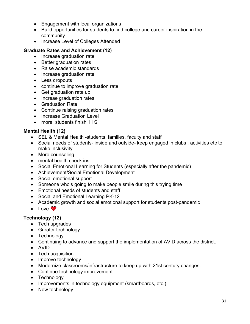- Engagement with local organizations
- Build opportunities for students to find college and career inspiration in the community
- Increase Level of Colleges Attended

#### **Graduate Rates and Achievement (12)**

- Increase graduation rate
- Better graduation rates
- Raise academic standards
- Increase graduation rate
- Less dropouts
- continue to improve graduation rate
- Get graduation rate up.
- Increae graduation rates
- Graduation Rate
- Continue raising graduation rates
- Increase Graduation Level
- more students finish H S

#### **Mental Health (12)**

- SEL & Mental Health -students, families, faculty and staff
- Social needs of students- inside and outside- keep engaged in clubs , activities etc to make inclusivity
- More counseling
- mental health check ins
- Social Emotional Learning for Students (especially after the pandemic)
- Achievement/Social Emotional Development
- Social emotional support
- Someone who's going to make people smile during this trying time
- Emotional needs of students and staff
- Social and Emotional Learning PK-12
- Academic growth and social emotional support for students post-pandemic
- Love  $\bullet$

#### **Technology (12)**

- Tech upgrades
- Greater technology
- Technology
- Continuing to advance and support the implementation of AVID across the district.
- AVID
- Tech acquisition
- Improve technology
- Modernize classrooms/infrastructure to keep up with 21st century changes.
- Continue technology improvement
- Technology
- Improvements in technology equipment (smartboards, etc.)
- New technology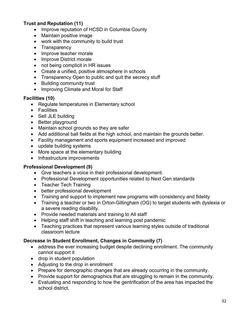#### **Trust and Reputation (11)**

- Improve reputation of HCSD in Columbia County
- Maintain positive image
- work with the community to build trust
- Transparency
- Improve teacher morale
- Improve District morale
- not being complicit in HR issues
- Create a unified, positive atmosphere in schools
- Transparency Open to public and quit the secrecy stuff
- Building community trust
- Improving Climate and Moral for Staff

#### **Facilities (10)**

- Regulate temperatures in Elementary school
- Facilities
- Sell JLE building
- Better playground
- Maintain school grounds so they are safer
- Add additional ball fields at the high school, and maintain the grounds better.
- Facility management and sports equipment increased and improved
- update building systems
- More space at the elementary building
- Infrastructure improvements

#### **Professional Development (9)**

- Give teachers a voice in their professional development.
- Professional Development opportunities related to Next Gen standards
- Teacher Tech Training
- better professional development
- Training and support to implement new programs with consistency and fidelity
- Training a teacher or two in Orton-Gillingham (OG) to target students with dyslexia or a severe reading disability.
- Provide needed materials and training to All staff
- Helping staff shift in teaching and learning post pandemic
- Teaching practices that represent various learning styles outside of traditional classroom lecture

#### **Decrease in Student Enrollment, Changes in Community (7)**

- address the ever increasing budget despite declining enrollment. The community cannot support it
- drop in student population
- Adjusting to the drop in enrollment
- Prepare for demographic changes that are already occurring in the community.
- Provide support for demographics that are struggling to remain in the community.
- Evaluating and responding to how the gentrification of the area has impacted the school district.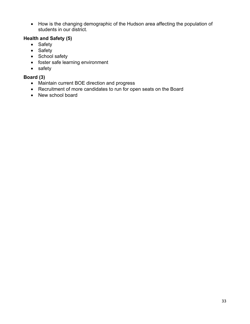• How is the changing demographic of the Hudson area affecting the population of students in our district.

#### **Health and Safety (5)**

- Safety
- Safety
- School safety
- foster safe learning environment
- safety

# **Board (3)**

- Maintain current BOE direction and progress
- Recruitment of more candidates to run for open seats on the Board
- New school board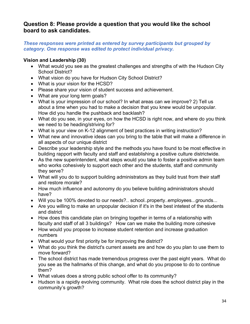# **Question 8: Please provide a question that you would like the school board to ask candidates.**

#### *These responses were printed as entered by survey participants but grouped by category. One response was edited to protect individual privacy.*

#### **Vision and Leadership (30)**

- What would you see as the greatest challenges and strengths of with the Hudson City School District?
- What vision do you have for Hudson City School District?
- What is your vision for the HCSD?
- Please share your vision of student success and achievement.
- What are your long term goals?
- What is your impression of our school? In what areas can we improve? 2) Tell us about a time when you had to make a decision that you knew would be unpopular. How did you handle the pushback and backlash?
- What do you see, in your eyes, on how the HCSD is right now, and where do you think we need to be heading/striving for?
- What is your view on K-12 alignment of best practices in writing instruction?
- What new and innovative ideas can you bring to the table that will make a difference in all aspects of our unique district
- Describe your leadership style and the methods you have found to be most effective in building rapport with faculty and staff and establishing a positive culture districtwide.
- As the new superintendent, what steps would you take to foster a positive admin team who works cohesively to support each other and the students, staff and community they serve?
- What will you do to support building administrators as they build trust from their staff and restore morale?
- How much influence and autonomy do you believe building administrators should have?
- Will you be 100% devoted to our needs?.. school..property..employees...grounds...
- Are you willing to make an unpopular decision if it's in the best intetest of the students and district
- How does this candidate plan on bringing together in terms of a relationship with faculty and staff of all 3 buildings? How can we make the building more cohesive
- How would you propose to increase student retention and increase graduation numbers
- What would your first priority be for improving the district?
- What do you think the district's current assets are and how do you plan to use them to move forward?
- The school district has made tremendous progress over the past eight years. What do you see as the hallmarks of this change, and what do you propose to do to continue them?
- What values does a strong public school offer to its community?
- Hudson is a rapidly evolving community. What role does the school district play in the community's growth?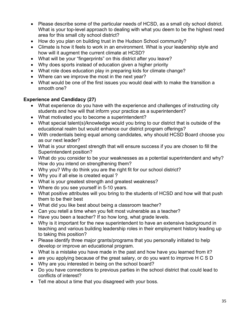- Please describe some of the particular needs of HCSD, as a small city school district. What is your top-level approach to dealing with what you deem to be the highest need area for this small city school district?
- How do you plan on building trust in the Hudson School community?
- Climate is how it feels to work in an environment. What is your leadership style and how will it augment the current climate at HCSD?
- What will be your "fingerprints" on this district after you leave?
- Why does sports instead of education given a higher priority
- What role does education play in preparing kids for climate change?
- Where can we improve the most in the next year?
- What would be one of the first issues you would deal with to make the transition a smooth one?

#### **Experience and Candidacy (27)**

- What experience do you have with the experience and challenges of instructing city students and how will that inform your practice as a superintendent?
- What motivated you to become a superintendent?
- What special talent(s)/knowledge would you bring to our district that is outside of the educational realm but would enhance our district program offerings?
- With credentials being equal among candidates, why should HCSD Board choose you as our next leader?
- What is your strongest strength that will ensure success if you are chosen to fill the Superintendent position?
- What do you consider to be your weaknesses as a potential superintendent and why? How do you intend on strengthening them?
- Why you? Why do think you are the right fit for our school district?
- Why you if all else is created equal ?
- What is your greatest strength and greatest weakness?
- Where do you see yourself in 5-10 years.
- What positive attributes will you bring to the students of HCSD and how will that push them to be their best
- What did you like best about being a classroom teacher?
- Can you retell a time when you felt most vulnerable as a teacher?
- Have you been a teacher? If so how long, what grade levels.
- Why is it important for the new superintendent to have an extensive background in teaching and various building leadership roles in their employment history leading up to taking this position?
- Please identify three major grants/programs that you personally initiated to help develop or improve an educational program.
- What is a mistake you have made in the past and how have you learned from it?
- are you applying because of the great salary, or do you want to improve H C S D
- Why are you interested in being on the school board?
- Do you have connections to previous parties in the school district that could lead to conflicts of interest?
- Tell me about a time that you disagreed with your boss.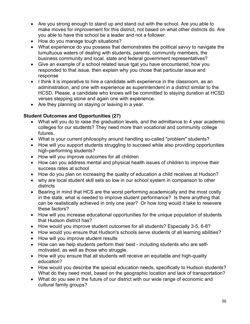- Are you strong enough to stand up and stand out with the school. Are you able to make moves for improvement for this district, not based on what other districts do. Are you able to have this school be a leader and not a follower.
- How do you manage tough situations?
- What experience do you possess that demonstrates the political savvy to navigate the tumultuous waters of dealing with students, parents, community members, the business community and local, state and federal government representatives?
- Give an example of a school related issue tgat you have encountered, how you responded to that issue, then explain why you chose that particular issue and response
- I think it is imperative to hire a candidate with experience in the classroom, as an administration, and one with experience as superintendent in a district similar to the HCSD. Please, a candidate who knows will be committed to staying duration at HCSD verses stepping stone and again one with experience.
- Are they planning on staying or leaving in a year.

# **Student Outcomes and Opportunities (27)**

- What will you do to raise the graduation levels, and the admittance to 4 year academic colleges for our students? They need more than vocational and community college futures.
- What is your current philosophy around handling so-called "problem" students?
- How will you support students struggling to succeed while also providing opportunities high-performing students?
- How will you improve outcomes for all children
- How can you address mental and physical health issues of children to improve their success rates at school
- How do you plan on increasing the quality of education a child receives at Hudson?
- why are local student skill sets so low in our school system in comparison to other districts
- Bearing in mind that HCS are the worst performing academically and the most costly in the state, what is needed to improve student performance? Is there anything that can be realistically achieved in only one year? Or how long would it take to resevere these factors?
- How will you increase educational opportunities for the unique population of students that Hudson district has?
- How would you improve student outcomes for all students? Especially 3-5, 6-8?
- How would you ensure that Hudson's schools serve students of all learning abilities?
- How will you improve student results
- How can we help students perform their best including students who are selfmotivated, as well as those who struggle.
- How will you ensure that all students will receive an equitable and high-quality education?
- How would you describe the special education needs, specifically to Hudson students? What do they need most, based on the geographic location and lack of transportation?
- What do you see in the future of our district with our wide range of economic and cultural family groups?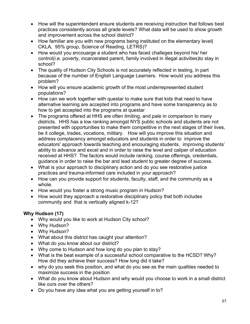- How will the superintendent ensure students are receiving instruction that follows best practices consistently across all grade levels? What data will be used to show growth and improvement across the school district?
- How familiar are you with new programs being instituted on the elementary level( CKLA, 95% group, Science of Reading, LETRS)?
- How would you encouarge a student who has faced challeges beyond his/ her control(i.e. poverty, incarcerated parent, family involved in illegal activities)to stay in school?
- The quality of Hudson City Schools is not accurately reflected in testing, in part because of the number of English Language Learners. How would you address this problem?
- How will you ensure academic growth of the most underrepresented student populations?
- How can we work together with questar to make sure that kids that need to have alternative learning are accepted into programs and have some transparency as to how to get accepted into the programs at questar
- The programs offered at HHS are often limiting, and pale in comparison to many districts. HHS has a low ranking amongst NYS public schools and students are not presented with opportunities to make them competitive in the next stages of their lives, be it college, trades, vocations, military. How will you improve this situation and address complacency amongst educators and students in order to improve the educators' approach towards teaching and encouraging students, improving students' ability to advance and excel and in order to raise the level and caliper of education received at HHS? The factors would include ranking, course offerings, credentials, guidance in order to raise the bar and lead student to greater degree of success.
- What is your approach to disciplinary action and do you see restorative justice practices and trauma-informed care included in your approach?
- How can you provide support for students, faculty, staff, and the community as a whole.
- How would you foster a strong music program in Hudson?
- How would they approach a restorative disciplinary policy that both includes community and that is vertically aligned k-12?

# **Why Hudson (17)**

- Why would you like to work at Hudson City school?
- Why Hudson?
- Why Hudson?
- What about this district has caught your attention?
- What do you know about our district?
- Why come to Hudson and how long do you plan to stay?
- What is the beat example of a successful school comparative to the HCSD? Why? How did they achieve their success? How long did it take?
- why do you seek this position, and what do you see as the main qualities needed to maximize success in the position
- What do you know about Hudson and why would you choose to work in a small district like ours over the others?
- Do you have any idea what you are getting yourself in to?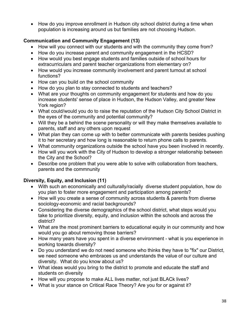• How do you improve enrollment in Hudson city school district during a time when population is increasing around us but families are not choosing Hudson.

# **Communication and Community Engagement (13)**

- How will you connect with our students and with the community they come from?
- How do you increase parent and community engagement in the HCSD?
- How would you best engage students and families outside of school hours for extracurriculars and parent teacher organizations from elementary on?
- How would you increase community involvement and parent turnout at school functions?
- How can you build on the school community
- How do you plan to stay connected to students and teachers?
- What are your thoughts on community engagement for students and how do you increase students' sense of place in Hudson, the Hudson Valley, and greater New York region?
- What could/would you do to raise the reputation of the Hudson City School District in the eyes of the community and potential community?
- Will they be a behind the scene personality or will they make themselves available to parents, staff and any others upon request
- What plan they can come up with to better communicate with parents besides pushing it to her secretary and how long is reasonable to return phone calls to parents.
- What community organizations outside the school have you been involved in recently.
- How will you work with the City of Hudson to develop a stronger relationship between the City and the School?
- Describe one problem that you were able to solve with collaboration from teachers, parents and the commnunity

# **Diversity, Equity, and Inclusion (11)**

- With such an economically and culturally/racially diverse student population, how do you plan to foster more engagement and participation among parents?
- How will you create a sense of community across students & parents from diverse sociology-economic and racial backgrounds?
- Considering the diverse demographics of the school district, what steps would you take to prioritize diversity, equity, and inclusion within the schools and across the district?
- What are the most prominent barriers to educational equity in our community and how would you go about removing those barriers?
- How many years have you spent in a diverse environment what is you experience in working towards diversity?
- Do you understand we do not need someone who thinks they have to "fix" our District, we need someone who embraces us and understands the value of our culture and diversity. What do you know about us?
- What ideas would you bring to the district to promote and educate the staff and students on diversity
- How will you propose to make ALL lives matter, not just BLACk lives?
- What is your stance on Critical Race Theory? Are you for or against it?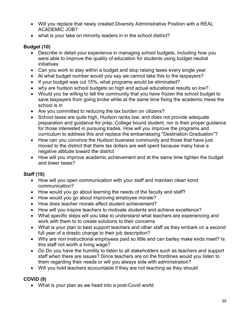- Will you replace that newly created Diversity Administrative Position with a REAL ACADEMIC JOB?
- what is your take on minority leaders in in the school district?

#### **Budget (10)**

- Describe in detail your experience in managing school budgets, including how you were able to improve the quality of education for students using budget neutral initiatives
- Can you work to stay within a budget and stop raising taxes every single year.
- At what budget number would you say we cannot take this to the taxpayers?
- If your budget was cut 15%, what programs would be eliminated?
- why are hudson school budgets so high and actual educational results so low?
- Would you be willing to tell the community that you have frozen the school budget to save taxpayers from going broke while at the same time fixing the academic mess the school is in
- Are you committed to reducing the tax burden on citizens?
- School taxes are quite high, Hudson ranks low, and does not provide adequate preparation and guidance for prep. College bound student, nor is their proper guidance for those interested in pursuing trades. How will you improve the programs and curriculum to address this and replace the embarrassing "Destination Graduation"?
- How can you convince the Hudson business community and those that have just moved to the district that there tax dollars are well spent because many have a negative attitude toward the district
- How will you improve academic achievement and at the same time tighten the budget and lower taxes?

#### **Staff (10)**

- How will you open communication with your staff and maintain clean kond communication?
- How would you go about learning the needs of the faculty and staff?
- How would you go about improving employee morale?
- How does teacher morale affect student achievement?
- How will you inspire teachers to motivate students and achieve excellence?
- What specific steps will you take to understand what teachers are experiencing and work with them to to create solutions to their concerns
- What is your plan to best support teachers and other staff as they embark on a second full year of a drastic change to their job description?
- Why are non instructional employees paid so little and can barley make ends meet? Is this staff not worth a living wage?
- Do Do you have the humility to listen to all stakeholders such as teachers and support staff when there are issues? Since teachers are on the frontlines would you listen to them regarding their needs or will you always side with administration?
- Will you hold teachers accountable if they are not teaching as they should

#### **COVID (9)**

• What is your plan as we head into a post-Covid world